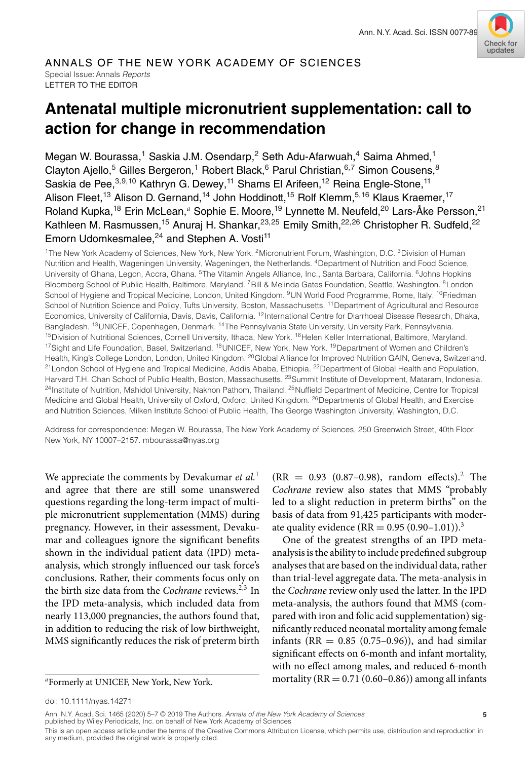

### ANNALS OF THE NEW YORK ACADEMY OF SCIENCES Special Issue: Annals *Reports* LETTER TO THE EDITOR

# **Antenatal multiple micronutrient supplementation: call to action for change in recommendation**

Megan W. Bourassa,<sup>1</sup> Saskia J.M. Osendarp,<sup>2</sup> Seth Adu-Afarwuah,<sup>4</sup> Saima Ahmed,<sup>1</sup> Clayton Ajello,<sup>5</sup> Gilles Bergeron,<sup>1</sup> Robert Black,<sup>6</sup> Parul Christian,<sup>6,7</sup> Simon Cousens,<sup>8</sup> Saskia de Pee, 3,9,10 Kathryn G. Dewey, <sup>11</sup> Shams El Arifeen, <sup>12</sup> Reina Engle-Stone, <sup>11</sup> Alison Fleet,<sup>13</sup> Alison D. Gernand,<sup>14</sup> John Hoddinott,<sup>15</sup> Rolf Klemm,<sup>5,16</sup> Klaus Kraemer,<sup>17</sup> Roland Kupka,<sup>18</sup> Erin McLean,<sup>a</sup> Sophie E. Moore,<sup>19</sup> Lynnette M. Neufeld,<sup>20</sup> Lars-Åke Persson,<sup>21</sup> Kathleen M. Rasmussen,<sup>15</sup> Anuraj H. Shankar,<sup>23,25</sup> Emily Smith,<sup>22,26</sup> Christopher R. Sudfeld,<sup>22</sup> Emorn Udomkesmalee, $^{24}$  and Stephen A. Vosti<sup>11</sup>

<sup>1</sup>The New York Academy of Sciences, New York, New York. <sup>2</sup>Micronutrient Forum, Washington, D.C. <sup>3</sup>Division of Human Nutrition and Health, Wageningen University, Wageningen, the Netherlands. 4Department of Nutrition and Food Science, University of Ghana, Legon, Accra, Ghana. <sup>5</sup>The Vitamin Angels Alliance, Inc., Santa Barbara, California. <sup>6</sup>Johns Hopkins Bloomberg School of Public Health, Baltimore, Maryland. <sup>7</sup>Bill & Melinda Gates Foundation, Seattle, Washington. <sup>8</sup>London School of Hygiene and Tropical Medicine, London, United Kingdom. <sup>9</sup>UN World Food Programme, Rome, Italy. <sup>10</sup>Friedman School of Nutrition Science and Policy, Tufts University, Boston, Massachusetts. <sup>11</sup> Department of Agricultural and Resource Economics, University of California, Davis, Davis, California. 12International Centre for Diarrhoeal Disease Research, Dhaka, Bangladesh. 13UNICEF, Copenhagen, Denmark. 14The Pennsylvania State University, University Park, Pennsylvania. <sup>15</sup>Division of Nutritional Sciences, Cornell University, Ithaca, New York. <sup>16</sup>Helen Keller International, Baltimore, Maryland. <sup>17</sup>Sight and Life Foundation, Basel, Switzerland. <sup>18</sup>UNICEF, New York, New York. <sup>19</sup>Department of Women and Children's Health, King's College London, London, United Kingdom. <sup>20</sup>Global Alliance for Improved Nutrition GAIN, Geneva, Switzerland. <sup>21</sup>London School of Hygiene and Tropical Medicine, Addis Ababa, Ethiopia. <sup>22</sup>Department of Global Health and Population, Harvard T.H. Chan School of Public Health, Boston, Massachusetts. <sup>23</sup>Summit Institute of Development, Mataram, Indonesia. <sup>24</sup>Institute of Nutrition, Mahidol University, Nakhon Pathom, Thailand. <sup>25</sup>Nuffield Department of Medicine, Centre for Tropical Medicine and Global Health, University of Oxford, Oxford, United Kingdom. <sup>26</sup>Departments of Global Health, and Exercise and Nutrition Sciences, Milken Institute School of Public Health, The George Washington University, Washington, D.C.

Address for correspondence: Megan W. Bourassa, The New York Academy of Sciences, 250 Greenwich Street, 40th Floor, New York, NY 10007–2157. mbourassa@nyas.org

We appreciate the comments by Devakumar *et al.*<sup>1</sup> and agree that there are still some unanswered questions regarding the long-term impact of multiple micronutrient supplementation (MMS) during pregnancy. However, in their assessment, Devakumar and colleagues ignore the significant benefits shown in the individual patient data (IPD) metaanalysis, which strongly influenced our task force's conclusions. Rather, their comments focus only on the birth size data from the *Cochrane* reviews.<sup>2,3</sup> In the IPD meta-analysis, which included data from nearly 113,000 pregnancies, the authors found that, in addition to reducing the risk of low birthweight, MMS significantly reduces the risk of preterm birth

 $(RR = 0.93 (0.87 - 0.98)$ , random effects).<sup>2</sup> The *Cochrane* review also states that MMS "probably led to a slight reduction in preterm births" on the basis of data from 91,425 participants with moderate quality evidence (RR =  $0.95 (0.90 - 1.01)$ ).<sup>3</sup>

One of the greatest strengths of an IPD metaanalysis is the ability to include predefined subgroup analyses that are based on the individual data, rather than trial-level aggregate data. The meta-analysis in the *Cochrane* review only used the latter. In the IPD meta-analysis, the authors found that MMS (compared with iron and folic acid supplementation) significantly reduced neonatal mortality among female infants ( $RR = 0.85$  (0.75–0.96)), and had similar significant effects on 6-month and infant mortality, with no effect among males, and reduced 6-month mortality ( $RR = 0.71$  (0.60–0.86)) among all infants

This is an open access article under the terms of the [Creative Commons Attribution](http://creativecommons.org/licenses/by/4.0/) License, which permits use, distribution and reproduction in any medium, provided the original work is properly cited.

*<sup>a</sup>*Formerly at UNICEF, New York, New York.

doi: 10.1111/nyas.14271

Ann. N.Y. Acad. Sci. 1465 (2020) 5–7 © 2019 The Authors. *Annals of the New York Academy of Sciences* **5** published by Wiley Periodicals, Inc. on behalf of New York Academy of Sciences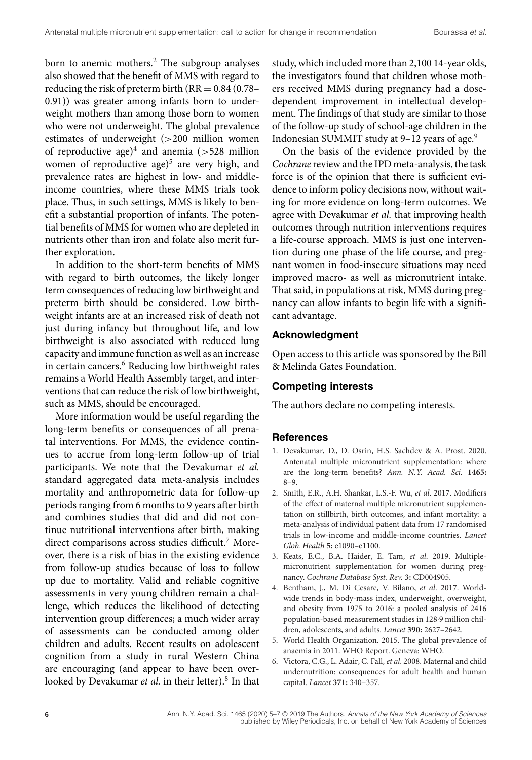born to anemic mothers.<sup>2</sup> The subgroup analyses also showed that the benefit of MMS with regard to reducing the risk of preterm birth ( $RR = 0.84$  (0.78– 0.91)) was greater among infants born to underweight mothers than among those born to women who were not underweight. The global prevalence estimates of underweight (*>*200 million women of reproductive age)4 and anemia (*>*528 million women of reproductive age)<sup>5</sup> are very high, and prevalence rates are highest in low- and middleincome countries, where these MMS trials took place. Thus, in such settings, MMS is likely to benefit a substantial proportion of infants. The potential benefits of MMS for women who are depleted in nutrients other than iron and folate also merit further exploration.

In addition to the short-term benefits of MMS with regard to birth outcomes, the likely longer term consequences of reducing low birthweight and preterm birth should be considered. Low birthweight infants are at an increased risk of death not just during infancy but throughout life, and low birthweight is also associated with reduced lung capacity and immune function as well as an increase in certain cancers.<sup>6</sup> Reducing low birthweight rates remains a World Health Assembly target, and interventions that can reduce the risk of low birthweight, such as MMS, should be encouraged.

More information would be useful regarding the long-term benefits or consequences of all prenatal interventions. For MMS, the evidence continues to accrue from long-term follow-up of trial participants. We note that the Devakumar *et al.* standard aggregated data meta-analysis includes mortality and anthropometric data for follow-up periods ranging from 6 months to 9 years after birth and combines studies that did and did not continue nutritional interventions after birth, making direct comparisons across studies difficult.<sup>7</sup> Moreover, there is a risk of bias in the existing evidence from follow-up studies because of loss to follow up due to mortality. Valid and reliable cognitive assessments in very young children remain a challenge, which reduces the likelihood of detecting intervention group differences; a much wider array of assessments can be conducted among older children and adults. Recent results on adolescent cognition from a study in rural Western China are encouraging (and appear to have been overlooked by Devakumar *et al.* in their letter).<sup>8</sup> In that

study, which included more than 2,100 14-year olds, the investigators found that children whose mothers received MMS during pregnancy had a dosedependent improvement in intellectual development. The findings of that study are similar to those of the follow-up study of school-age children in the Indonesian SUMMIT study at 9-12 years of age.<sup>9</sup>

On the basis of the evidence provided by the *Cochrane* review and the IPD meta-analysis, the task force is of the opinion that there is sufficient evidence to inform policy decisions now, without waiting for more evidence on long-term outcomes. We agree with Devakumar *et al.* that improving health outcomes through nutrition interventions requires a life-course approach. MMS is just one intervention during one phase of the life course, and pregnant women in food-insecure situations may need improved macro- as well as micronutrient intake. That said, in populations at risk, MMS during pregnancy can allow infants to begin life with a significant advantage.

### **Acknowledgment**

Open access to this article was sponsored by the Bill & Melinda Gates Foundation.

## **Competing interests**

The authors declare no competing interests.

#### **References**

- 1. Devakumar, D., D. Osrin, H.S. Sachdev & A. Prost. 2020. Antenatal multiple micronutrient supplementation: where are the long-term benefits? *Ann. N.Y. Acad. Sci.* **1465:** 8–9.
- 2. Smith, E.R., A.H. Shankar, L.S.-F. Wu, *et al*. 2017. Modifiers of the effect of maternal multiple micronutrient supplementation on stillbirth, birth outcomes, and infant mortality: a meta-analysis of individual patient data from 17 randomised trials in low-income and middle-income countries. *Lancet Glob. Health* **5:** e1090–e1100.
- 3. Keats, E.C., B.A. Haider, E. Tam, *et al*. 2019. Multiplemicronutrient supplementation for women during pregnancy. *Cochrane Database Syst. Rev.* **3:** CD004905.
- 4. Bentham, J., M. Di Cesare, V. Bilano, *et al*. 2017. Worldwide trends in body-mass index, underweight, overweight, and obesity from 1975 to 2016: a pooled analysis of 2416 population-based measurement studies in 128·9 million children, adolescents, and adults. *Lancet* **390:** 2627–2642.
- 5. World Health Organization. 2015. The global prevalence of anaemia in 2011. WHO Report. Geneva: WHO.
- 6. Victora, C.G., L. Adair, C. Fall, *et al*. 2008. Maternal and child undernutrition: consequences for adult health and human capital. *Lancet* **371:** 340–357.